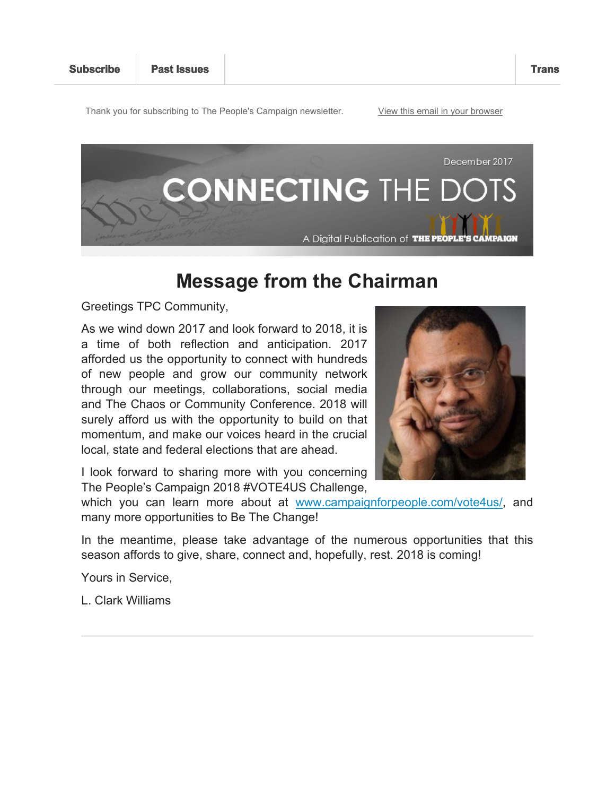Thank you for subscribing to The People's Campaign newsletter. View this email in your browser



## **Message from the Chairman**

Greetings TPC Community,

As we wind down 2017 and look forward to 2018, it is a time of both reflection and anticipation. 2017 afforded us the opportunity to connect with hundreds of new people and grow our community network through our meetings, collaborations, social media and The Chaos or Community Conference. 2018 will surely afford us with the opportunity to build on that momentum, and make our voices heard in the crucial local, state and federal elections that are ahead.



I look forward to sharing more with you concerning The People's Campaign 2018 #VOTE4US Challenge,

which you can learn more about at www.campaignforpeople.com/vote4us/, and many more opportunities to Be The Change!

In the meantime, please take advantage of the numerous opportunities that this season affords to give, share, connect and, hopefully, rest. 2018 is coming!

Yours in Service,

L. Clark Williams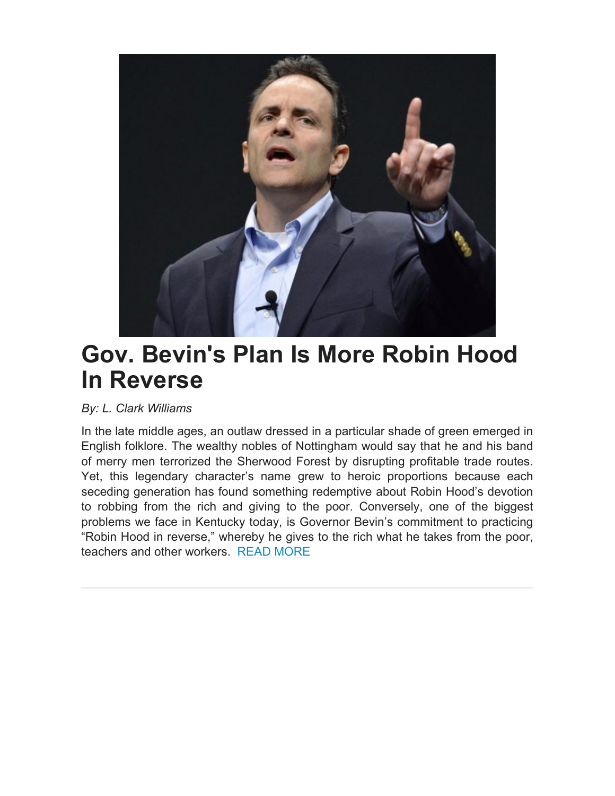

# **Gov. Bevin's Plan Is More Robin Hood In Reverse**

*By: L. Clark Williams*

In the late middle ages, an outlaw dressed in a particular shade of green emerged in English folklore. The wealthy nobles of Nottingham would say that he and his band of merry men terrorized the Sherwood Forest by disrupting profitable trade routes. Yet, this legendary character's name grew to heroic proportions because each seceding generation has found something redemptive about Robin Hood's devotion to robbing from the rich and giving to the poor. Conversely, one of the biggest problems we face in Kentucky today, is Governor Bevin's commitment to practicing "Robin Hood in reverse," whereby he gives to the rich what he takes from the poor, teachers and other workers. READ MORE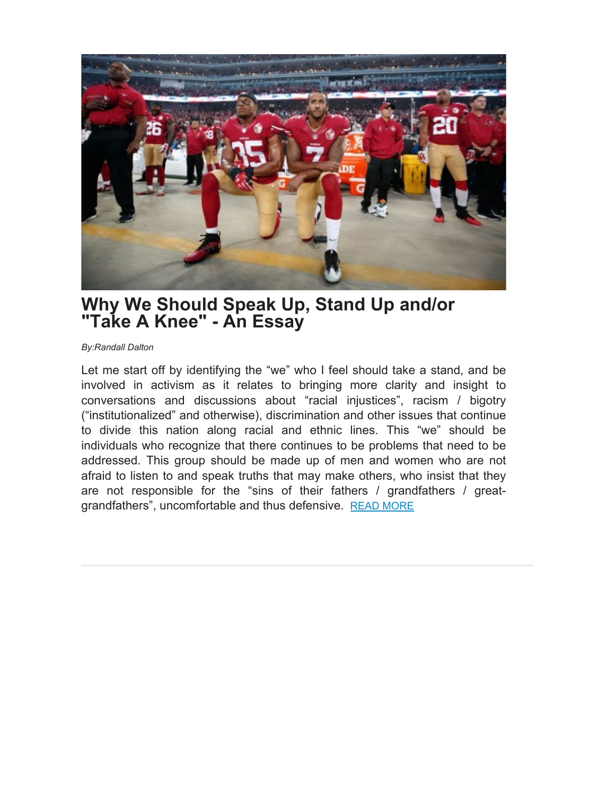

## **Why We Should Speak Up, Stand Up and/or "Take A Knee" - An Essay**

*By:Randall Dalton*

Let me start off by identifying the "we" who I feel should take a stand, and be involved in activism as it relates to bringing more clarity and insight to conversations and discussions about "racial injustices", racism / bigotry ("institutionalized" and otherwise), discrimination and other issues that continue to divide this nation along racial and ethnic lines. This "we" should be individuals who recognize that there continues to be problems that need to be addressed. This group should be made up of men and women who are not afraid to listen to and speak truths that may make others, who insist that they are not responsible for the "sins of their fathers / grandfathers / greatgrandfathers", uncomfortable and thus defensive. READ MORE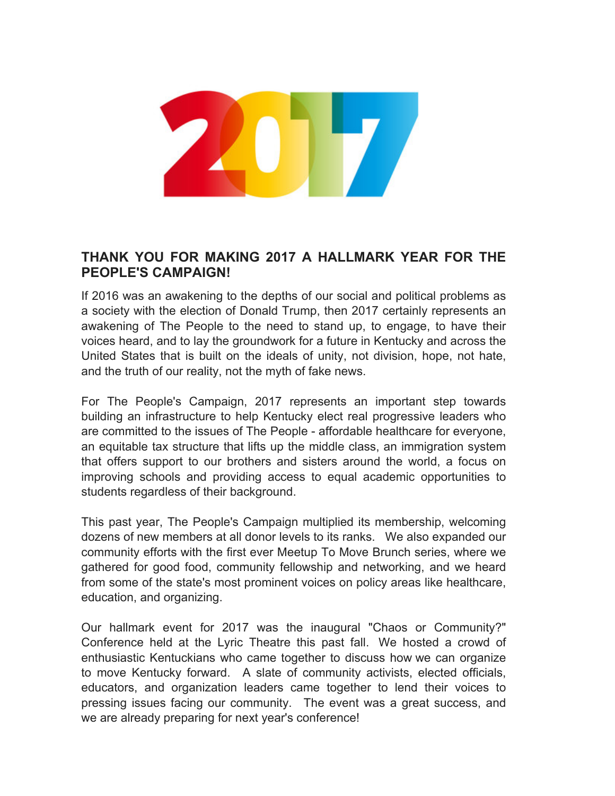

### **THANK YOU FOR MAKING 2017 A HALLMARK YEAR FOR THE PEOPLE'S CAMPAIGN!**

If 2016 was an awakening to the depths of our social and political problems as a society with the election of Donald Trump, then 2017 certainly represents an awakening of The People to the need to stand up, to engage, to have their voices heard, and to lay the groundwork for a future in Kentucky and across the United States that is built on the ideals of unity, not division, hope, not hate, and the truth of our reality, not the myth of fake news.

For The People's Campaign, 2017 represents an important step towards building an infrastructure to help Kentucky elect real progressive leaders who are committed to the issues of The People - affordable healthcare for everyone, an equitable tax structure that lifts up the middle class, an immigration system that offers support to our brothers and sisters around the world, a focus on improving schools and providing access to equal academic opportunities to students regardless of their background.

This past year, The People's Campaign multiplied its membership, welcoming dozens of new members at all donor levels to its ranks. We also expanded our community efforts with the first ever Meetup To Move Brunch series, where we gathered for good food, community fellowship and networking, and we heard from some of the state's most prominent voices on policy areas like healthcare, education, and organizing.

Our hallmark event for 2017 was the inaugural "Chaos or Community?" Conference held at the Lyric Theatre this past fall. We hosted a crowd of enthusiastic Kentuckians who came together to discuss how we can organize to move Kentucky forward. A slate of community activists, elected officials, educators, and organization leaders came together to lend their voices to pressing issues facing our community. The event was a great success, and we are already preparing for next year's conference!